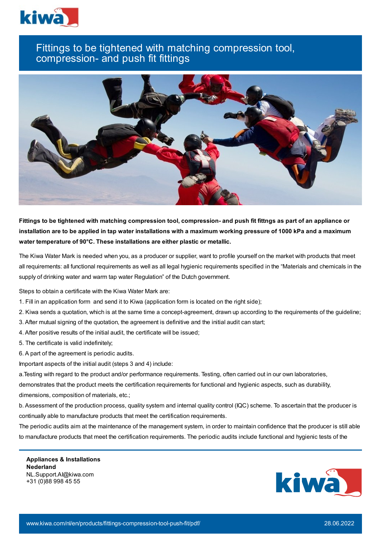

## Fittings to be tightened with matching compression tool, compression- and push fit fittings



Fittings to be tightened with matching compression tool, compression- and push fit fittngs as part of an appliance or installation are to be applied in tap water installations with a maximum working pressure of 1000 kPa and a maximum **water temperature of 90°C. These installations are either plastic or metallic.**

The Kiwa Water Mark is needed when you, as a producer or supplier, want to profile yourself on the market with products that meet all requirements: all functional requirements as well as all legal hygienic requirements specified in the "Materials and chemicals in the supply of drinking water and warm tap water Regulation" of the Dutch government.

Steps to obtain a certificate with the Kiwa Water Mark are:

- 1. Fill in an application form and send it to Kiwa (application form is located on the right side);
- 2. Kiwa sends a quotation, which is at the same time a concept-agreement, drawn up according to the requirements of the guideline;
- 3. After mutual signing of the quotation, the agreement is definitive and the initial audit can start;
- 4. After positive results of the initial audit, the certificate will be issued;
- 5. The certificate is valid indefinitely;
- 6. A part of the agreement is periodic audits.

Important aspects of the initial audit (steps 3 and 4) include:

a.Testing with regard to the product and/or performance requirements. Testing, often carried out in our own laboratories, demonstrates that the product meets the certification requirements for functional and hygienic aspects, such as durability, dimensions, composition of materials, etc.;

b. Assessment of the production process, quality system and internal quality control (IQC) scheme. To ascertain that the producer is continually able to manufacture products that meet the certification requirements.

The periodic audits aim at the maintenance of the management system, in order to maintain confidence that the producer is still able to manufacture products that meet the certification requirements. The periodic audits include functional and hygienic tests of the

**Appliances & Installations Nederland** NL.Support.AI@kiwa.com +31 (0)88 998 45 55